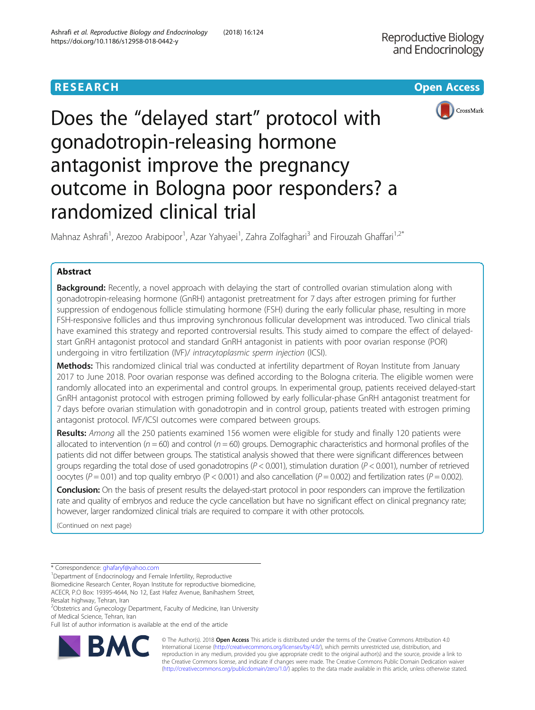

Does the "delayed start" protocol with gonadotropin-releasing hormone antagonist improve the pregnancy outcome in Bologna poor responders? a randomized clinical trial

Mahnaz Ashrafi<sup>1</sup>, Arezoo Arabipoor<sup>1</sup>, Azar Yahyaei<sup>1</sup>, Zahra Zolfaghari<sup>3</sup> and Firouzah Ghaffari<sup>1,2\*</sup>

# Abstract

**Background:** Recently, a novel approach with delaying the start of controlled ovarian stimulation along with gonadotropin-releasing hormone (GnRH) antagonist pretreatment for 7 days after estrogen priming for further suppression of endogenous follicle stimulating hormone (FSH) during the early follicular phase, resulting in more FSH-responsive follicles and thus improving synchronous follicular development was introduced. Two clinical trials have examined this strategy and reported controversial results. This study aimed to compare the effect of delayedstart GnRH antagonist protocol and standard GnRH antagonist in patients with poor ovarian response (POR) undergoing in vitro fertilization (IVF)/ intracytoplasmic sperm injection (ICSI).

Methods: This randomized clinical trial was conducted at infertility department of Royan Institute from January 2017 to June 2018. Poor ovarian response was defined according to the Bologna criteria. The eligible women were randomly allocated into an experimental and control groups. In experimental group, patients received delayed-start GnRH antagonist protocol with estrogen priming followed by early follicular-phase GnRH antagonist treatment for 7 days before ovarian stimulation with gonadotropin and in control group, patients treated with estrogen priming antagonist protocol. IVF/ICSI outcomes were compared between groups.

Results: Among all the 250 patients examined 156 women were eligible for study and finally 120 patients were allocated to intervention ( $n = 60$ ) and control ( $n = 60$ ) groups. Demographic characteristics and hormonal profiles of the patients did not differ between groups. The statistical analysis showed that there were significant differences between groups regarding the total dose of used gonadotropins ( $P < 0.001$ ), stimulation duration ( $P < 0.001$ ), number of retrieved oocytes ( $P = 0.01$ ) and top quality embryo ( $P < 0.001$ ) and also cancellation ( $P = 0.002$ ) and fertilization rates ( $P = 0.002$ ).

Conclusion: On the basis of present results the delayed-start protocol in poor responders can improve the fertilization rate and quality of embryos and reduce the cycle cancellation but have no significant effect on clinical pregnancy rate; however, larger randomized clinical trials are required to compare it with other protocols.

(Continued on next page)

\* Correspondence: [ghafaryf@yahoo.com](mailto:ghafaryf@yahoo.com) <sup>1</sup>

Department of Endocrinology and Female Infertility, Reproductive

Biomedicine Research Center, Royan Institute for reproductive biomedicine,

ACECR, P.O Box: 19395-4644, No 12, East Hafez Avenue, Banihashem Street, Resalat highway, Tehran, Iran

<sup>2</sup>Obstetrics and Gynecology Department, Faculty of Medicine, Iran University of Medical Science, Tehran, Iran

Full list of author information is available at the end of the article



© The Author(s). 2018 Open Access This article is distributed under the terms of the Creative Commons Attribution 4.0 International License [\(http://creativecommons.org/licenses/by/4.0/](http://creativecommons.org/licenses/by/4.0/)), which permits unrestricted use, distribution, and reproduction in any medium, provided you give appropriate credit to the original author(s) and the source, provide a link to the Creative Commons license, and indicate if changes were made. The Creative Commons Public Domain Dedication waiver [\(http://creativecommons.org/publicdomain/zero/1.0/](http://creativecommons.org/publicdomain/zero/1.0/)) applies to the data made available in this article, unless otherwise stated.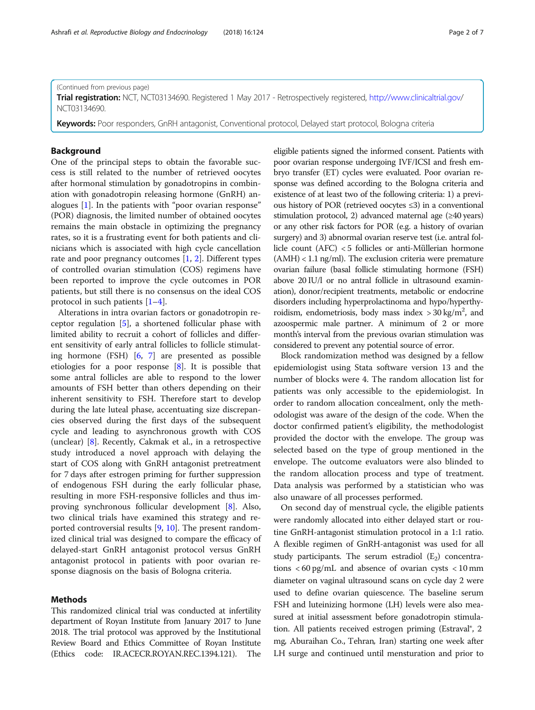Trial registration: NCT, NCT03134690. Registered 1 May 2017 - Retrospectively registered, [http://www.clinicaltrial.gov/](http://www.clinicaltrial.gov) NCT03134690.

Keywords: Poor responders, GnRH antagonist, Conventional protocol, Delayed start protocol, Bologna criteria

## Background

One of the principal steps to obtain the favorable success is still related to the number of retrieved oocytes after hormonal stimulation by gonadotropins in combination with gonadotropin releasing hormone (GnRH) analogues [\[1](#page-5-0)]. In the patients with "poor ovarian response" (POR) diagnosis, the limited number of obtained oocytes remains the main obstacle in optimizing the pregnancy rates, so it is a frustrating event for both patients and clinicians which is associated with high cycle cancellation rate and poor pregnancy outcomes [[1](#page-5-0), [2\]](#page-5-0). Different types of controlled ovarian stimulation (COS) regimens have been reported to improve the cycle outcomes in POR patients, but still there is no consensus on the ideal COS protocol in such patients [[1](#page-5-0)–[4\]](#page-5-0).

Alterations in intra ovarian factors or gonadotropin receptor regulation [[5\]](#page-6-0), a shortened follicular phase with limited ability to recruit a cohort of follicles and different sensitivity of early antral follicles to follicle stimulating hormone (FSH) [\[6,](#page-6-0) [7](#page-6-0)] are presented as possible etiologies for a poor response [[8\]](#page-6-0). It is possible that some antral follicles are able to respond to the lower amounts of FSH better than others depending on their inherent sensitivity to FSH. Therefore start to develop during the late luteal phase, accentuating size discrepancies observed during the first days of the subsequent cycle and leading to asynchronous growth with COS (unclear) [\[8\]](#page-6-0). Recently, Cakmak et al., in a retrospective study introduced a novel approach with delaying the start of COS along with GnRH antagonist pretreatment for 7 days after estrogen priming for further suppression of endogenous FSH during the early follicular phase, resulting in more FSH-responsive follicles and thus improving synchronous follicular development [\[8](#page-6-0)]. Also, two clinical trials have examined this strategy and reported controversial results [[9,](#page-6-0) [10\]](#page-6-0). The present randomized clinical trial was designed to compare the efficacy of delayed-start GnRH antagonist protocol versus GnRH antagonist protocol in patients with poor ovarian response diagnosis on the basis of Bologna criteria.

## Methods

This randomized clinical trial was conducted at infertility department of Royan Institute from January 2017 to June 2018. The trial protocol was approved by the Institutional Review Board and Ethics Committee of Royan Institute (Ethics code: IR.ACECR.ROYAN.REC.1394.121). The eligible patients signed the informed consent. Patients with poor ovarian response undergoing IVF/ICSI and fresh embryo transfer (ET) cycles were evaluated. Poor ovarian response was defined according to the Bologna criteria and existence of at least two of the following criteria: 1) a previous history of POR (retrieved oocytes ≤3) in a conventional stimulation protocol, 2) advanced maternal age (≥40 years) or any other risk factors for POR (e.g. a history of ovarian surgery) and 3) abnormal ovarian reserve test (i.e. antral follicle count (AFC) < 5 follicles or anti-Mȕllerian hormone  $(AMH)$  < 1.1 ng/ml). The exclusion criteria were premature ovarian failure (basal follicle stimulating hormone (FSH) above 20 IU/l or no antral follicle in ultrasound examination), donor/recipient treatments, metabolic or endocrine disorders including hyperprolactinoma and hypo/hyperthyroidism, endometriosis, body mass index  $>$  30 kg/m<sup>2</sup>, and azoospermic male partner. A minimum of 2 or more month's interval from the previous ovarian stimulation was considered to prevent any potential source of error.

Block randomization method was designed by a fellow epidemiologist using Stata software version 13 and the number of blocks were 4. The random allocation list for patients was only accessible to the epidemiologist. In order to random allocation concealment, only the methodologist was aware of the design of the code. When the doctor confirmed patient's eligibility, the methodologist provided the doctor with the envelope. The group was selected based on the type of group mentioned in the envelope. The outcome evaluators were also blinded to the random allocation process and type of treatment. Data analysis was performed by a statistician who was also unaware of all processes performed.

On second day of menstrual cycle, the eligible patients were randomly allocated into either delayed start or routine GnRH-antagonist stimulation protocol in a 1:1 ratio. A flexible regimen of GnRH-antagonist was used for all study participants. The serum estradiol  $(E_2)$  concentrations  $\lt 60$  pg/mL and absence of ovarian cysts  $\lt 10$  mm diameter on vaginal ultrasound scans on cycle day 2 were used to define ovarian quiescence. The baseline serum FSH and luteinizing hormone (LH) levels were also measured at initial assessment before gonadotropin stimulation. All patients received estrogen priming (Estraval®, 2 mg, Aburaihan Co., Tehran, Iran) starting one week after LH surge and continued until mensturation and prior to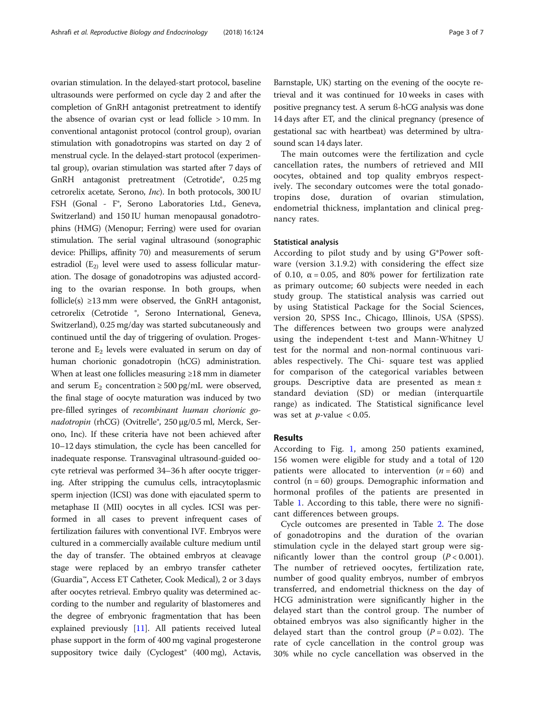ovarian stimulation. In the delayed-start protocol, baseline ultrasounds were performed on cycle day 2 and after the completion of GnRH antagonist pretreatment to identify the absence of ovarian cyst or lead follicle > 10 mm. In conventional antagonist protocol (control group), ovarian stimulation with gonadotropins was started on day 2 of menstrual cycle. In the delayed-start protocol (experimental group), ovarian stimulation was started after 7 days of GnRH antagonist pretreatment (Cetrotide<sup>®</sup>, 0.25 mg cetrorelix acetate, Serono, Inc). In both protocols, 300 IU FSH (Gonal - F®, Serono Laboratories Ltd., Geneva, Switzerland) and 150 IU human menopausal gonadotrophins (HMG) (Menopur; Ferring) were used for ovarian stimulation. The serial vaginal ultrasound (sonographic device: Phillips, affinity 70) and measurements of serum estradiol  $(E_2)$  level were used to assess follicular maturation. The dosage of gonadotropins was adjusted according to the ovarian response. In both groups, when follicle(s)  $\geq$ 13 mm were observed, the GnRH antagonist, cetrorelix (Cetrotide ®, Serono International, Geneva, Switzerland), 0.25 mg/day was started subcutaneously and continued until the day of triggering of ovulation. Progesterone and  $E_2$  levels were evaluated in serum on day of human chorionic gonadotropin (hCG) administration. When at least one follicles measuring ≥18 mm in diameter and serum  $E_2$  concentration  $\geq$  500 pg/mL were observed, the final stage of oocyte maturation was induced by two pre-filled syringes of recombinant human chorionic gonadotropin (rhCG) (Ovitrelle®, 250 μg/0.5 ml, Merck, Serono, Inc). If these criteria have not been achieved after 10–12 days stimulation, the cycle has been cancelled for inadequate response. Transvaginal ultrasound-guided oocyte retrieval was performed 34–36 h after oocyte triggering. After stripping the cumulus cells, intracytoplasmic sperm injection (ICSI) was done with ejaculated sperm to metaphase II (MII) oocytes in all cycles. ICSI was performed in all cases to prevent infrequent cases of fertilization failures with conventional IVF. Embryos were cultured in a commercially available culture medium until the day of transfer. The obtained embryos at cleavage stage were replaced by an embryo transfer catheter (Guardia™, Access ET Catheter, Cook Medical), 2 or 3 days after oocytes retrieval. Embryo quality was determined according to the number and regularity of blastomeres and the degree of embryonic fragmentation that has been explained previously [[11](#page-6-0)]. All patients received luteal phase support in the form of 400 mg vaginal progesterone suppository twice daily (Cyclogest<sup>®</sup> (400 mg), Actavis,

Barnstaple, UK) starting on the evening of the oocyte retrieval and it was continued for 10 weeks in cases with positive pregnancy test. A serum ß-hCG analysis was done 14 days after ET, and the clinical pregnancy (presence of gestational sac with heartbeat) was determined by ultrasound scan 14 days later.

The main outcomes were the fertilization and cycle cancellation rates, the numbers of retrieved and MII oocytes, obtained and top quality embryos respectively. The secondary outcomes were the total gonadotropins dose, duration of ovarian stimulation, endometrial thickness, implantation and clinical pregnancy rates.

## Statistical analysis

According to pilot study and by using G\*Power software (version 3.1.9.2) with considering the effect size of 0.10,  $\alpha$  = 0.05, and 80% power for fertilization rate as primary outcome; 60 subjects were needed in each study group. The statistical analysis was carried out by using Statistical Package for the Social Sciences, version 20, SPSS Inc., Chicago, Illinois, USA (SPSS). The differences between two groups were analyzed using the independent t-test and Mann-Whitney U test for the normal and non-normal continuous variables respectively. The Chi- square test was applied for comparison of the categorical variables between groups. Descriptive data are presented as mean ± standard deviation (SD) or median (interquartile range) as indicated. The Statistical significance level was set at  $p$ -value < 0.05.

## Results

According to Fig. [1](#page-3-0), among 250 patients examined, 156 women were eligible for study and a total of 120 patients were allocated to intervention  $(n = 60)$  and control  $(n = 60)$  groups. Demographic information and hormonal profiles of the patients are presented in Table [1](#page-4-0). According to this table, there were no significant differences between groups.

Cycle outcomes are presented in Table [2](#page-5-0). The dose of gonadotropins and the duration of the ovarian stimulation cycle in the delayed start group were significantly lower than the control group  $(P < 0.001)$ . The number of retrieved oocytes, fertilization rate, number of good quality embryos, number of embryos transferred, and endometrial thickness on the day of HCG administration were significantly higher in the delayed start than the control group. The number of obtained embryos was also significantly higher in the delayed start than the control group  $(P = 0.02)$ . The rate of cycle cancellation in the control group was 30% while no cycle cancellation was observed in the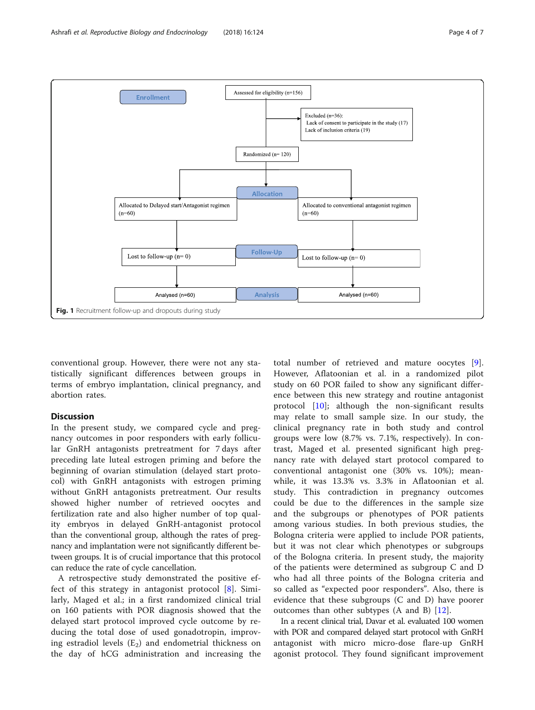<span id="page-3-0"></span>

conventional group. However, there were not any statistically significant differences between groups in terms of embryo implantation, clinical pregnancy, and abortion rates.

## **Discussion**

In the present study, we compared cycle and pregnancy outcomes in poor responders with early follicular GnRH antagonists pretreatment for 7 days after preceding late luteal estrogen priming and before the beginning of ovarian stimulation (delayed start protocol) with GnRH antagonists with estrogen priming without GnRH antagonists pretreatment. Our results showed higher number of retrieved oocytes and fertilization rate and also higher number of top quality embryos in delayed GnRH-antagonist protocol than the conventional group, although the rates of pregnancy and implantation were not significantly different between groups. It is of crucial importance that this protocol can reduce the rate of cycle cancellation.

A retrospective study demonstrated the positive effect of this strategy in antagonist protocol [[8\]](#page-6-0). Similarly, Maged et al.; in a first randomized clinical trial on 160 patients with POR diagnosis showed that the delayed start protocol improved cycle outcome by reducing the total dose of used gonadotropin, improving estradiol levels  $(E_2)$  and endometrial thickness on the day of hCG administration and increasing the

total number of retrieved and mature oocytes [\[9](#page-6-0)]. However, Aflatoonian et al. in a randomized pilot study on 60 POR failed to show any significant difference between this new strategy and routine antagonist protocol [\[10](#page-6-0)]; although the non-significant results may relate to small sample size. In our study, the clinical pregnancy rate in both study and control groups were low (8.7% vs. 7.1%, respectively). In contrast, Maged et al. presented significant high pregnancy rate with delayed start protocol compared to conventional antagonist one (30% vs. 10%); meanwhile, it was 13.3% vs. 3.3% in Aflatoonian et al. study. This contradiction in pregnancy outcomes could be due to the differences in the sample size and the subgroups or phenotypes of POR patients among various studies. In both previous studies, the Bologna criteria were applied to include POR patients, but it was not clear which phenotypes or subgroups of the Bologna criteria. In present study, the majority of the patients were determined as subgroup C and D who had all three points of the Bologna criteria and so called as "expected poor responders". Also, there is evidence that these subgroups (C and D) have poorer outcomes than other subtypes (A and B) [\[12](#page-6-0)].

In a recent clinical trial, Davar et al. evaluated 100 women with POR and compared delayed start protocol with GnRH antagonist with micro micro-dose flare-up GnRH agonist protocol. They found significant improvement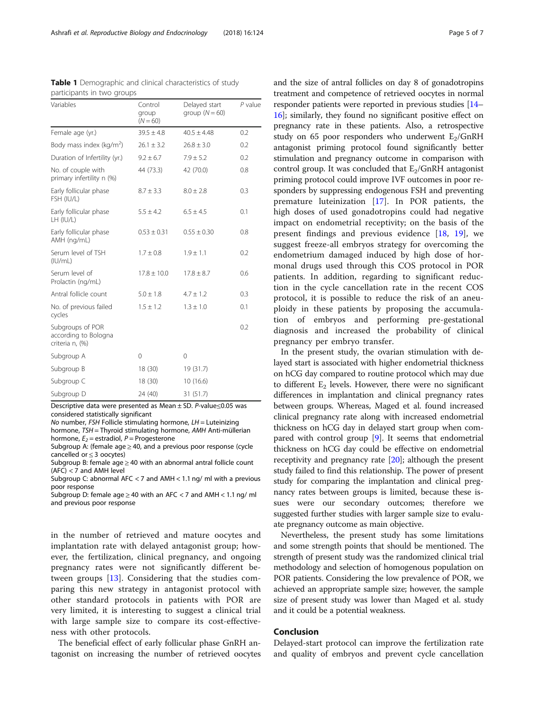| Variables                                                   | Control<br>group<br>$(N = 60)$ | Delayed start<br>group $(N = 60)$ | $P$ value<br>0.2 |  |
|-------------------------------------------------------------|--------------------------------|-----------------------------------|------------------|--|
| Female age (yr.)                                            | $39.5 \pm 4.8$                 | $40.5 \pm 4.48$                   |                  |  |
| Body mass index ( $kg/m2$ )                                 | $26.1 \pm 3.2$                 | $26.8 \pm 3.0$                    | 0.2              |  |
| Duration of Infertility (yr.)                               | $9.2 \pm 6.7$                  | $7.9 \pm 5.2$                     | 0.2              |  |
| No. of couple with<br>primary infertility n (%)             | 44 (73.3)                      | 42 (70.0)                         | 0.8              |  |
| Early follicular phase<br>FSH (IU/L)                        | $8.7 \pm 3.3$                  | $8.0 \pm 2.8$                     | 0.3              |  |
| Early follicular phase<br>LH (IU/L)                         | $5.5 \pm 4.2$                  | $6.5 \pm 4.5$                     | 0.1              |  |
| Early follicular phase<br>AMH (ng/mL)                       | $0.53 \pm 0.31$                | $0.55 \pm 0.30$                   | 0.8              |  |
| Serum level of TSH<br>(IU/mL)                               | $1.7 \pm 0.8$                  | $1.9 \pm 1.1$                     | 0.2              |  |
| Serum level of<br>Prolactin (ng/mL)                         | $17.8 \pm 10.0$                | $17.8 \pm 8.7$                    | 0.6              |  |
| Antral follicle count                                       | $5.0 \pm 1.8$                  | $4.7 + 1.2$                       | 0.3              |  |
| No. of previous failed<br>cycles                            | $1.5 \pm 1.2$                  | $1.3 \pm 1.0$                     | 0.1              |  |
| Subgroups of POR<br>according to Bologna<br>criteria n, (%) |                                |                                   | 0.2              |  |
| Subgroup A                                                  | 0                              | 0                                 |                  |  |
| Subgroup B                                                  | 18 (30)                        | 19 (31.7)                         |                  |  |
| Subgroup C                                                  | 18(30)                         | 10(16.6)                          |                  |  |
| Subgroup D                                                  | 24 (40)                        | 31 (51.7)                         |                  |  |

<span id="page-4-0"></span>Table 1 Demographic and clinical characteristics of study participants in two groups

Descriptive data were presented as Mean ± SD. P-value≤0.05 was considered statistically significant

No number, FSH Follicle stimulating hormone,  $LH =$  Luteinizing hormone, TSH = Thyroid stimulating hormone, AMH Anti-müllerian hormone,  $E_2$  = estradiol,  $P$  = Progesterone

Subgroup A: (female  $age \geq 40$ , and a previous poor response (cycle cancelled or ≤ 3 oocytes)

Subgroup B: female age  $\geq$  40 with an abnormal antral follicle count (AFC) < 7 and AMH level

Subgroup C: abnormal AFC < 7 and AMH < 1.1 ng/ ml with a previous poor response

Subgroup D: female age  $\geq$  40 with an AFC < 7 and AMH < 1.1 ng/ ml and previous poor response

in the number of retrieved and mature oocytes and implantation rate with delayed antagonist group; however, the fertilization, clinical pregnancy, and ongoing pregnancy rates were not significantly different between groups [[13](#page-6-0)]. Considering that the studies comparing this new strategy in antagonist protocol with other standard protocols in patients with POR are very limited, it is interesting to suggest a clinical trial with large sample size to compare its cost-effectiveness with other protocols.

The beneficial effect of early follicular phase GnRH antagonist on increasing the number of retrieved oocytes and the size of antral follicles on day 8 of gonadotropins treatment and competence of retrieved oocytes in normal responder patients were reported in previous studies [\[14](#page-6-0)– [16](#page-6-0)]; similarly, they found no significant positive effect on pregnancy rate in these patients. Also, a retrospective study on 65 poor responders who underwent  $E_2/GnRH$ antagonist priming protocol found significantly better stimulation and pregnancy outcome in comparison with control group. It was concluded that  $E_2/GnRH$  antagonist priming protocol could improve IVF outcomes in poor responders by suppressing endogenous FSH and preventing premature luteinization [[17\]](#page-6-0). In POR patients, the high doses of used gonadotropins could had negative impact on endometrial receptivity; on the basis of the present findings and previous evidence [[18,](#page-6-0) [19\]](#page-6-0), we suggest freeze-all embryos strategy for overcoming the endometrium damaged induced by high dose of hormonal drugs used through this COS protocol in POR patients. In addition, regarding to significant reduction in the cycle cancellation rate in the recent COS protocol, it is possible to reduce the risk of an aneuploidy in these patients by proposing the accumulation of embryos and performing pre-gestational diagnosis and increased the probability of clinical pregnancy per embryo transfer.

In the present study, the ovarian stimulation with delayed start is associated with higher endometrial thickness on hCG day compared to routine protocol which may due to different  $E_2$  levels. However, there were no significant differences in implantation and clinical pregnancy rates between groups. Whereas, Maged et al. found increased clinical pregnancy rate along with increased endometrial thickness on hCG day in delayed start group when compared with control group [\[9](#page-6-0)]. It seems that endometrial thickness on hCG day could be effective on endometrial receptivity and pregnancy rate [\[20](#page-6-0)]; although the present study failed to find this relationship. The power of present study for comparing the implantation and clinical pregnancy rates between groups is limited, because these issues were our secondary outcomes; therefore we suggested further studies with larger sample size to evaluate pregnancy outcome as main objective.

Nevertheless, the present study has some limitations and some strength points that should be mentioned. The strength of present study was the randomized clinical trial methodology and selection of homogenous population on POR patients. Considering the low prevalence of POR, we achieved an appropriate sample size; however, the sample size of present study was lower than Maged et al. study and it could be a potential weakness.

## Conclusion

Delayed-start protocol can improve the fertilization rate and quality of embryos and prevent cycle cancellation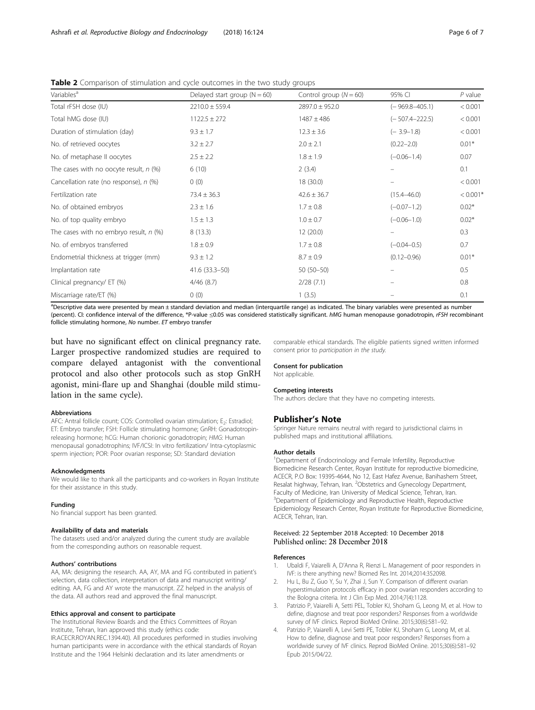<span id="page-5-0"></span>

| Table 2 Comparison of stimulation and cycle outcomes in the two study groups |
|------------------------------------------------------------------------------|
|------------------------------------------------------------------------------|

| Variables <sup>a</sup>                   | Delayed start group $(N = 60)$ | Control group $(N = 60)$ | 95% CI             | $P$ value  |
|------------------------------------------|--------------------------------|--------------------------|--------------------|------------|
| Total rFSH dose (IU)                     | $2210.0 \pm 559.4$             | $2897.0 \pm 952.0$       | $(-969.8 - 405.1)$ | < 0.001    |
| Total hMG dose (IU)                      | $1122.5 \pm 272$               | $1487 \pm 486$           | $(-507.4 - 222.5)$ | < 0.001    |
| Duration of stimulation (day)            | $9.3 \pm 1.7$                  | $12.3 \pm 3.6$           | $(-3.9-1.8)$       | < 0.001    |
| No. of retrieved oocytes                 | $3.2 \pm 2.7$                  | $2.0 \pm 2.1$            | $(0.22 - 2.0)$     | $0.01*$    |
| No. of metaphase II oocytes              | $2.5 \pm 2.2$                  | $1.8 \pm 1.9$            | $(-0.06 - 1.4)$    | 0.07       |
| The cases with no oocyte result, $n$ (%) | 6(10)                          | 2(3.4)                   |                    | 0.1        |
| Cancellation rate (no response), n (%)   | 0(0)                           | 18 (30.0)                |                    | < 0.001    |
| Fertilization rate                       | $73.4 \pm 36.3$                | $42.6 \pm 36.7$          | $(15.4 - 46.0)$    | $< 0.001*$ |
| No. of obtained embryos                  | $2.3 \pm 1.6$                  | $1.7 \pm 0.8$            | $(-0.07-1.2)$      | $0.02*$    |
| No. of top quality embryo                | $1.5 \pm 1.3$                  | $1.0 \pm 0.7$            | $(-0.06 - 1.0)$    | $0.02*$    |
| The cases with no embryo result, $n$ (%) | 8(13.3)                        | 12(20.0)                 |                    | 0.3        |
| No. of embryos transferred               | $1.8 \pm 0.9$                  | $1.7 \pm 0.8$            | $(-0.04 - 0.5)$    | 0.7        |
| Endometrial thickness at trigger (mm)    | $9.3 \pm 1.2$                  | $8.7 \pm 0.9$            | $(0.12 - 0.96)$    | $0.01*$    |
| Implantation rate                        | 41.6 (33.3–50)                 | $50(50-50)$              |                    | 0.5        |
| Clinical pregnancy/ ET (%)               | 4/46(8.7)                      | 2/28(7.1)                |                    | 0.8        |
| Miscarriage rate/ET (%)                  | 0(0)                           | 1(3.5)                   |                    | 0.1        |

<sup>a</sup>Descriptive data were presented by mean ± standard deviation and median (interquartile range) as indicated. The binary variables were presented as number (percent). CI: confidence interval of the difference, \*P-value ≤0.05 was considered statistically significant. hMG human menopause gonadotropin, rFSH recombinant follicle stimulating hormone, No number. ET embryo transfer

but have no significant effect on clinical pregnancy rate. Larger prospective randomized studies are required to compare delayed antagonist with the conventional protocol and also other protocols such as stop GnRH agonist, mini-flare up and Shanghai (double mild stimulation in the same cycle).

#### Abbreviations

AFC: Antral follicle count; COS: Controlled ovarian stimulation; E<sub>2</sub>: Estradiol; ET: Embryo transfer; FSH: Follicle stimulating hormone; GnRH: Gonadotropinreleasing hormone; hCG: Human chorionic gonadotropin; HMG: Human menopausal gonadotrophins; IVF/ICSI: In vitro fertilization/ Intra-cytoplasmic sperm injection; POR: Poor ovarian response; SD: Standard deviation

### Acknowledgments

We would like to thank all the participants and co-workers in Royan Institute for their assistance in this study.

#### Funding

No financial support has been granted.

### Availability of data and materials

The datasets used and/or analyzed during the current study are available from the corresponding authors on reasonable request.

### Authors' contributions

AA, MA: designing the research. AA, AY, MA and FG contributed in patient's selection, data collection, interpretation of data and manuscript writing/ editing. AA, FG and AY wrote the manuscript. ZZ helped in the analysis of the data. All authors read and approved the final manuscript.

#### Ethics approval and consent to participate

The Institutional Review Boards and the Ethics Committees of Royan Institute, Tehran, Iran approved this study (ethics code: IR.ACECR.ROYAN.REC.1394.40). All procedures performed in studies involving human participants were in accordance with the ethical standards of Royan Institute and the 1964 Helsinki declaration and its later amendments or

comparable ethical standards. The eligible patients signed written informed consent prior to participation in the study.

### Consent for publication

Not applicable.

## Competing interests

The authors declare that they have no competing interests.

### Publisher's Note

Springer Nature remains neutral with regard to jurisdictional claims in published maps and institutional affiliations.

#### Author details

<sup>1</sup>Department of Endocrinology and Female Infertility, Reproductive Biomedicine Research Center, Royan Institute for reproductive biomedicine, ACECR, P.O Box: 19395-4644, No 12, East Hafez Avenue, Banihashem Street, Resalat highway, Tehran, Iran. <sup>2</sup>Obstetrics and Gynecology Department, Faculty of Medicine, Iran University of Medical Science, Tehran, Iran. <sup>3</sup>Department of Epidemiology and Reproductive Health, Reproductive Epidemiology Research Center, Royan Institute for Reproductive Biomedicine, ACECR, Tehran, Iran.

## Received: 22 September 2018 Accepted: 10 December 2018 Published online: 28 December 2018

### References

- 1. Ubaldi F, Vaiarelli A, D'Anna R, Rienzi L. Management of poor responders in IVF: is there anything new? Biomed Res Int. 2014;2014:352098.
- Hu L, Bu Z, Guo Y, Su Y, Zhai J, Sun Y. Comparison of different ovarian hyperstimulation protocols efficacy in poor ovarian responders according to the Bologna criteria. Int J Clin Exp Med. 2014;7(4):1128.
- 3. Patrizio P, Vaiarelli A, Setti PEL, Tobler KJ, Shoham G, Leong M, et al. How to define, diagnose and treat poor responders? Responses from a worldwide survey of IVF clinics. Reprod BioMed Online. 2015;30(6):581–92.
- 4. Patrizio P, Vaiarelli A, Levi Setti PE, Tobler KJ, Shoham G, Leong M, et al. How to define, diagnose and treat poor responders? Responses from a worldwide survey of IVF clinics. Reprod BioMed Online. 2015;30(6):581–92 Epub 2015/04/22.